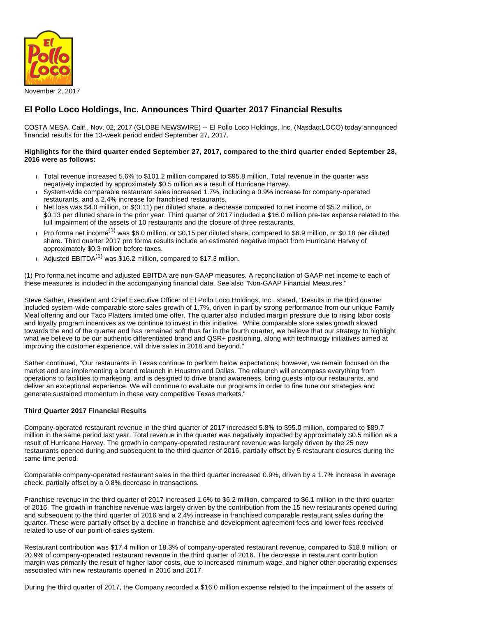

# **El Pollo Loco Holdings, Inc. Announces Third Quarter 2017 Financial Results**

COSTA MESA, Calif., Nov. 02, 2017 (GLOBE NEWSWIRE) -- El Pollo Loco Holdings, Inc. (Nasdaq:LOCO) today announced financial results for the 13-week period ended September 27, 2017.

### **Highlights for the third quarter ended September 27, 2017, compared to the third quarter ended September 28, 2016 were as follows:**

- Total revenue increased 5.6% to \$101.2 million compared to \$95.8 million. Total revenue in the quarter was negatively impacted by approximately \$0.5 million as a result of Hurricane Harvey.
- System-wide comparable restaurant sales increased 1.7%, including a 0.9% increase for company-operated restaurants, and a 2.4% increase for franchised restaurants.
- Net loss was \$4.0 million, or \$(0.11) per diluted share, a decrease compared to net income of \$5.2 million, or \$0.13 per diluted share in the prior year. Third quarter of 2017 included a \$16.0 million pre-tax expense related to the full impairment of the assets of 10 restaurants and the closure of three restaurants.
- Pro forma net income<sup>(1)</sup> was \$6.0 million, or \$0.15 per diluted share, compared to \$6.9 million, or \$0.18 per diluted share. Third quarter 2017 pro forma results include an estimated negative impact from Hurricane Harvey of approximately \$0.3 million before taxes.
- Adjusted EBITDA<sup>(1)</sup> was \$16.2 million, compared to \$17.3 million.

(1) Pro forma net income and adjusted EBITDA are non-GAAP measures. A reconciliation of GAAP net income to each of these measures is included in the accompanying financial data. See also "Non-GAAP Financial Measures."

Steve Sather, President and Chief Executive Officer of El Pollo Loco Holdings, Inc., stated, "Results in the third quarter included system-wide comparable store sales growth of 1.7%, driven in part by strong performance from our unique Family Meal offering and our Taco Platters limited time offer. The quarter also included margin pressure due to rising labor costs and loyalty program incentives as we continue to invest in this initiative. While comparable store sales growth slowed towards the end of the quarter and has remained soft thus far in the fourth quarter, we believe that our strategy to highlight what we believe to be our authentic differentiated brand and QSR+ positioning, along with technology initiatives aimed at improving the customer experience, will drive sales in 2018 and beyond."

Sather continued, "Our restaurants in Texas continue to perform below expectations; however, we remain focused on the market and are implementing a brand relaunch in Houston and Dallas. The relaunch will encompass everything from operations to facilities to marketing, and is designed to drive brand awareness, bring guests into our restaurants, and deliver an exceptional experience. We will continue to evaluate our programs in order to fine tune our strategies and generate sustained momentum in these very competitive Texas markets."

## **Third Quarter 2017 Financial Results**

Company-operated restaurant revenue in the third quarter of 2017 increased 5.8% to \$95.0 million, compared to \$89.7 million in the same period last year. Total revenue in the quarter was negatively impacted by approximately \$0.5 million as a result of Hurricane Harvey. The growth in company-operated restaurant revenue was largely driven by the 25 new restaurants opened during and subsequent to the third quarter of 2016, partially offset by 5 restaurant closures during the same time period.

Comparable company-operated restaurant sales in the third quarter increased 0.9%, driven by a 1.7% increase in average check, partially offset by a 0.8% decrease in transactions.

Franchise revenue in the third quarter of 2017 increased 1.6% to \$6.2 million, compared to \$6.1 million in the third quarter of 2016. The growth in franchise revenue was largely driven by the contribution from the 15 new restaurants opened during and subsequent to the third quarter of 2016 and a 2.4% increase in franchised comparable restaurant sales during the quarter. These were partially offset by a decline in franchise and development agreement fees and lower fees received related to use of our point-of-sales system.

Restaurant contribution was \$17.4 million or 18.3% of company-operated restaurant revenue, compared to \$18.8 million, or 20.9% of company-operated restaurant revenue in the third quarter of 2016. The decrease in restaurant contribution margin was primarily the result of higher labor costs, due to increased minimum wage, and higher other operating expenses associated with new restaurants opened in 2016 and 2017.

During the third quarter of 2017, the Company recorded a \$16.0 million expense related to the impairment of the assets of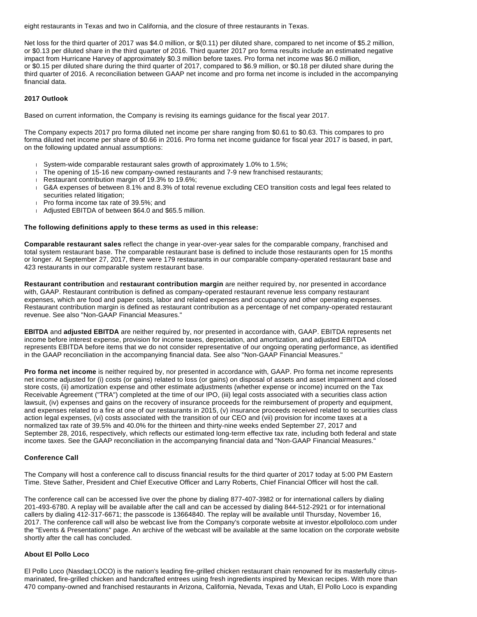eight restaurants in Texas and two in California, and the closure of three restaurants in Texas.

Net loss for the third quarter of 2017 was \$4.0 million, or \$(0.11) per diluted share, compared to net income of \$5.2 million, or \$0.13 per diluted share in the third quarter of 2016. Third quarter 2017 pro forma results include an estimated negative impact from Hurricane Harvey of approximately \$0.3 million before taxes. Pro forma net income was \$6.0 million, or \$0.15 per diluted share during the third quarter of 2017, compared to \$6.9 million, or \$0.18 per diluted share during the third quarter of 2016. A reconciliation between GAAP net income and pro forma net income is included in the accompanying financial data.

### **2017 Outlook**

Based on current information, the Company is revising its earnings guidance for the fiscal year 2017.

The Company expects 2017 pro forma diluted net income per share ranging from \$0.61 to \$0.63. This compares to pro forma diluted net income per share of \$0.66 in 2016. Pro forma net income guidance for fiscal year 2017 is based, in part, on the following updated annual assumptions:

- System-wide comparable restaurant sales growth of approximately 1.0% to 1.5%;
- $\Box$  The opening of 15-16 new company-owned restaurants and 7-9 new franchised restaurants;
- Restaurant contribution margin of 19.3% to 19.6%;
- G&A expenses of between 8.1% and 8.3% of total revenue excluding CEO transition costs and legal fees related to securities related litigation;
- Pro forma income tax rate of 39.5%; and
- Adjusted EBITDA of between \$64.0 and \$65.5 million.

#### **The following definitions apply to these terms as used in this release:**

**Comparable restaurant sales** reflect the change in year-over-year sales for the comparable company, franchised and total system restaurant base. The comparable restaurant base is defined to include those restaurants open for 15 months or longer. At September 27, 2017, there were 179 restaurants in our comparable company-operated restaurant base and 423 restaurants in our comparable system restaurant base.

**Restaurant contribution** and **restaurant contribution margin** are neither required by, nor presented in accordance with, GAAP. Restaurant contribution is defined as company-operated restaurant revenue less company restaurant expenses, which are food and paper costs, labor and related expenses and occupancy and other operating expenses. Restaurant contribution margin is defined as restaurant contribution as a percentage of net company-operated restaurant revenue. See also "Non-GAAP Financial Measures."

**EBITDA** and **adjusted EBITDA** are neither required by, nor presented in accordance with, GAAP. EBITDA represents net income before interest expense, provision for income taxes, depreciation, and amortization, and adjusted EBITDA represents EBITDA before items that we do not consider representative of our ongoing operating performance, as identified in the GAAP reconciliation in the accompanying financial data. See also "Non-GAAP Financial Measures."

**Pro forma net income** is neither required by, nor presented in accordance with, GAAP. Pro forma net income represents net income adjusted for (i) costs (or gains) related to loss (or gains) on disposal of assets and asset impairment and closed store costs, (ii) amortization expense and other estimate adjustments (whether expense or income) incurred on the Tax Receivable Agreement ("TRA") completed at the time of our IPO, (iii) legal costs associated with a securities class action lawsuit, (iv) expenses and gains on the recovery of insurance proceeds for the reimbursement of property and equipment, and expenses related to a fire at one of our restaurants in 2015, (v) insurance proceeds received related to securities class action legal expenses, (vi) costs associated with the transition of our CEO and (vii) provision for income taxes at a normalized tax rate of 39.5% and 40.0% for the thirteen and thirty-nine weeks ended September 27, 2017 and September 28, 2016, respectively, which reflects our estimated long-term effective tax rate, including both federal and state income taxes. See the GAAP reconciliation in the accompanying financial data and "Non-GAAP Financial Measures."

#### **Conference Call**

The Company will host a conference call to discuss financial results for the third quarter of 2017 today at 5:00 PM Eastern Time. Steve Sather, President and Chief Executive Officer and Larry Roberts, Chief Financial Officer will host the call.

The conference call can be accessed live over the phone by dialing 877-407-3982 or for international callers by dialing 201-493-6780. A replay will be available after the call and can be accessed by dialing 844-512-2921 or for international callers by dialing 412-317-6671; the passcode is 13664840. The replay will be available until Thursday, November 16, 2017. The conference call will also be webcast live from the Company's corporate website at investor.elpolloloco.com under the "Events & Presentations" page. An archive of the webcast will be available at the same location on the corporate website shortly after the call has concluded.

#### **About El Pollo Loco**

El Pollo Loco (Nasdaq:LOCO) is the nation's leading fire-grilled chicken restaurant chain renowned for its masterfully citrusmarinated, fire-grilled chicken and handcrafted entrees using fresh ingredients inspired by Mexican recipes. With more than 470 company-owned and franchised restaurants in Arizona, California, Nevada, Texas and Utah, El Pollo Loco is expanding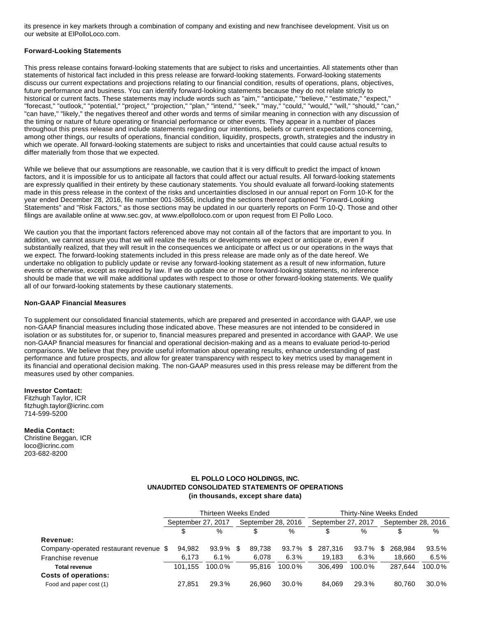its presence in key markets through a combination of company and existing and new franchisee development. Visit us on our website at ElPolloLoco.com.

### **Forward-Looking Statements**

This press release contains forward-looking statements that are subject to risks and uncertainties. All statements other than statements of historical fact included in this press release are forward-looking statements. Forward-looking statements discuss our current expectations and projections relating to our financial condition, results of operations, plans, objectives, future performance and business. You can identify forward-looking statements because they do not relate strictly to historical or current facts. These statements may include words such as "aim," "anticipate," "believe," "estimate," "expect," "forecast," "outlook," "potential," "project," "projection," "plan," "intend," "seek," "may," "could," "would," "will," "should," "can," "can have," "likely," the negatives thereof and other words and terms of similar meaning in connection with any discussion of the timing or nature of future operating or financial performance or other events. They appear in a number of places throughout this press release and include statements regarding our intentions, beliefs or current expectations concerning, among other things, our results of operations, financial condition, liquidity, prospects, growth, strategies and the industry in which we operate. All forward-looking statements are subject to risks and uncertainties that could cause actual results to differ materially from those that we expected.

While we believe that our assumptions are reasonable, we caution that it is very difficult to predict the impact of known factors, and it is impossible for us to anticipate all factors that could affect our actual results. All forward-looking statements are expressly qualified in their entirety by these cautionary statements. You should evaluate all forward-looking statements made in this press release in the context of the risks and uncertainties disclosed in our annual report on Form 10-K for the year ended December 28, 2016, file number 001-36556, including the sections thereof captioned "Forward-Looking Statements" and "Risk Factors," as those sections may be updated in our quarterly reports on Form 10-Q. Those and other filings are available online at www.sec.gov, at www.elpolloloco.com or upon request from El Pollo Loco.

We caution you that the important factors referenced above may not contain all of the factors that are important to you. In addition, we cannot assure you that we will realize the results or developments we expect or anticipate or, even if substantially realized, that they will result in the consequences we anticipate or affect us or our operations in the ways that we expect. The forward-looking statements included in this press release are made only as of the date hereof. We undertake no obligation to publicly update or revise any forward-looking statement as a result of new information, future events or otherwise, except as required by law. If we do update one or more forward-looking statements, no inference should be made that we will make additional updates with respect to those or other forward-looking statements. We qualify all of our forward-looking statements by these cautionary statements.

#### **Non-GAAP Financial Measures**

To supplement our consolidated financial statements, which are prepared and presented in accordance with GAAP, we use non-GAAP financial measures including those indicated above. These measures are not intended to be considered in isolation or as substitutes for, or superior to, financial measures prepared and presented in accordance with GAAP. We use non-GAAP financial measures for financial and operational decision-making and as a means to evaluate period-to-period comparisons. We believe that they provide useful information about operating results, enhance understanding of past performance and future prospects, and allow for greater transparency with respect to key metrics used by management in its financial and operational decision making. The non-GAAP measures used in this press release may be different from the measures used by other companies.

#### **Investor Contact:**

Fitzhugh Taylor, ICR fitzhugh.taylor@icrinc.com 714-599-5200

#### **Media Contact:**

Christine Beggan, ICR loco@icrinc.com 203-682-8200

### **EL POLLO LOCO HOLDINGS, INC. UNAUDITED CONSOLIDATED STATEMENTS OF OPERATIONS (in thousands, except share data)**

|                                        | Thirteen Weeks Ended |        |     |                    |           |     | Thirty-Nine Weeks Ended |        |   |                    |        |  |  |
|----------------------------------------|----------------------|--------|-----|--------------------|-----------|-----|-------------------------|--------|---|--------------------|--------|--|--|
|                                        | September 27, 2017   |        |     | September 28, 2016 |           |     | September 27, 2017      |        |   | September 28, 2016 |        |  |  |
|                                        | %<br>\$              |        |     | S                  | %         |     | %                       |        |   |                    | %      |  |  |
| Revenue:                               |                      |        |     |                    |           |     |                         |        |   |                    |        |  |  |
| Company-operated restaurant revenue \$ | 94,982               | 93.9%  | \$. | 89.738             | 93.7%     | \$. | 287.316                 | 93.7%  | S | 268.984            | 93.5%  |  |  |
| Franchise revenue                      | 6.173                | 6.1%   |     | 6.078              | 6.3%      |     | 19.183                  | 6.3%   |   | 18.660             | 6.5%   |  |  |
| <b>Total revenue</b>                   | 101.155              | 100.0% |     | 95.816             | $100.0\%$ |     | 306.499                 | 100.0% |   | 287.644            | 100.0% |  |  |
| <b>Costs of operations:</b>            |                      |        |     |                    |           |     |                         |        |   |                    |        |  |  |
| Food and paper cost (1)                | 27.851               | 29.3%  |     | 26.960             | 30.0%     |     | 84.069                  | 29.3%  |   | 80.760             | 30.0%  |  |  |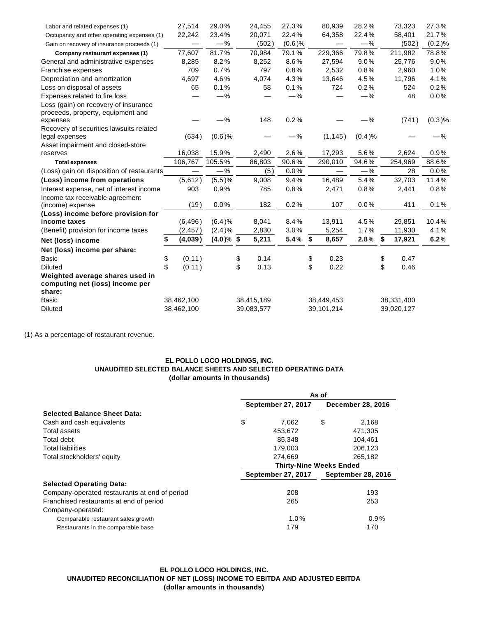| Labor and related expenses (1)                                               | 27,514       | 29.0%        |            | 24,455     | 27.3%     | 80,939                   | 28.2%  |            | 73,323     | 27.3%   |
|------------------------------------------------------------------------------|--------------|--------------|------------|------------|-----------|--------------------------|--------|------------|------------|---------|
| Occupancy and other operating expenses (1)                                   | 22,242       | 23.4%        |            | 20,071     | 22.4%     | 64,358                   | 22.4%  |            | 58,401     | 21.7%   |
| Gain on recovery of insurance proceeds (1)                                   |              | $-%$         |            | (502)      | $(0.6)$ % |                          | $-%$   |            | (502)      | (0.2)%  |
| Company restaurant expenses (1)                                              | 77,607       | 81.7%        |            | 70,984     | 79.1%     | 229,366                  | 79.8%  |            | 211,982    | 78.8%   |
| General and administrative expenses                                          | 8,285        | 8.2%         |            | 8,252      | 8.6%      | 27,594                   | 9.0%   |            | 25,776     | 9.0%    |
| Franchise expenses                                                           | 709          | 0.7%         |            | 797        | 0.8%      | 2,532                    | 0.8%   |            | 2,960      | 1.0%    |
| Depreciation and amortization                                                | 4,697        | 4.6%         |            | 4,074      | 4.3%      | 13,646                   | 4.5%   |            | 11,796     | 4.1%    |
| Loss on disposal of assets                                                   | 65           | 0.1%         |            | 58         | 0.1%      | 724                      | 0.2%   |            | 524        | 0.2%    |
| Expenses related to fire loss                                                |              | $-%$         |            |            | $-\%$     |                          | $-$ %  |            | 48         | 0.0%    |
| Loss (gain) on recovery of insurance<br>proceeds, property, equipment and    |              |              |            |            |           |                          |        |            |            |         |
| expenses                                                                     |              | $-\%$        |            | 148        | 0.2%      |                          | $-\%$  |            | (741)      | (0.3)%  |
| Recovery of securities lawsuits related<br>legal expenses                    | (634)        | $(0.6)$ %    |            |            | $-\%$     | (1, 145)                 | (0.4)% |            |            | $-\%$   |
| Asset impairment and closed-store                                            |              |              |            |            |           |                          |        |            |            |         |
| reserves                                                                     | 16,038       | 15.9%        |            | 2,490      | 2.6%      | 17,293                   | 5.6%   |            | 2,624      | 0.9%    |
| <b>Total expenses</b>                                                        | 106,767      | 105.5%       |            | 86,803     | 90.6%     | 290,010                  | 94.6%  |            | 254,969    | 88.6%   |
| (Loss) gain on disposition of restaurants                                    |              | -%           |            | (5)        | 0.0%      | $\overline{\phantom{m}}$ | $-%$   |            | 28         | $0.0\%$ |
| (Loss) income from operations                                                | (5,612)      | (5.5)%       |            | 9,008      | 9.4%      | 16,489                   | 5.4%   |            | 32,703     | 11.4%   |
| Interest expense, net of interest income                                     | 903          | 0.9%         |            | 785        | 0.8%      | 2,471                    | 0.8%   |            | 2,441      | 0.8%    |
| Income tax receivable agreement<br>(income) expense                          | (19)         | 0.0%         |            | 182        | 0.2%      | 107                      | 0.0%   |            | 411        | 0.1%    |
| (Loss) income before provision for                                           |              |              |            |            |           |                          |        |            |            |         |
| income taxes                                                                 | (6, 496)     | (6.4)%       |            | 8,041      | 8.4%      | 13,911                   | 4.5%   |            | 29,851     | 10.4%   |
| (Benefit) provision for income taxes                                         | (2, 457)     | (2.4)%       |            | 2,830      | 3.0%      | 5,254                    | 1.7%   |            | 11,930     | 4.1%    |
| Net (loss) income                                                            | (4,039)      | $(4.0)\%$ \$ |            | 5,211      | 5.4%      | \$<br>8,657              | 2.8%   | \$         | 17,921     | 6.2%    |
| Net (loss) income per share:                                                 |              |              |            |            |           |                          |        |            |            |         |
| <b>Basic</b>                                                                 | (0.11)<br>\$ |              | \$         | 0.14       |           | \$<br>0.23               |        | \$         | 0.47       |         |
| <b>Diluted</b>                                                               | \$<br>(0.11) |              | \$         | 0.13       |           | \$<br>0.22               |        | \$         | 0.46       |         |
| Weighted average shares used in<br>computing net (loss) income per<br>share: |              |              |            |            |           |                          |        |            |            |         |
| <b>Basic</b>                                                                 | 38,462,100   |              |            | 38,415,189 |           | 38,449,453               |        |            | 38,331,400 |         |
| <b>Diluted</b>                                                               | 38,462,100   |              | 39,083,577 |            |           | 39,101,214               |        | 39,020,127 |            |         |

(1) As a percentage of restaurant revenue.

# **EL POLLO LOCO HOLDINGS, INC. UNAUDITED SELECTED BALANCE SHEETS AND SELECTED OPERATING DATA (dollar amounts in thousands)**

|                                               | As of |                                |                          |                           |  |  |  |
|-----------------------------------------------|-------|--------------------------------|--------------------------|---------------------------|--|--|--|
|                                               |       | September 27, 2017             | <b>December 28, 2016</b> |                           |  |  |  |
| <b>Selected Balance Sheet Data:</b>           |       |                                |                          |                           |  |  |  |
| Cash and cash equivalents                     | \$    | 7.062                          | \$                       | 2.168                     |  |  |  |
| Total assets                                  |       | 453.672                        |                          | 471.305                   |  |  |  |
| Total debt                                    |       | 85,348                         |                          | 104,461                   |  |  |  |
| <b>Total liabilities</b>                      |       | 179,003                        |                          | 206,123                   |  |  |  |
| Total stockholders' equity                    |       | 274.669                        |                          | 265,182                   |  |  |  |
|                                               |       | <b>Thirty-Nine Weeks Ended</b> |                          |                           |  |  |  |
|                                               |       | <b>September 27, 2017</b>      |                          | <b>September 28, 2016</b> |  |  |  |
| <b>Selected Operating Data:</b>               |       |                                |                          |                           |  |  |  |
| Company-operated restaurants at end of period |       | 208                            |                          | 193                       |  |  |  |
| Franchised restaurants at end of period       |       | 265                            |                          | 253                       |  |  |  |
| Company-operated:                             |       |                                |                          |                           |  |  |  |
| Comparable restaurant sales growth            |       | 1.0%                           |                          | 0.9%                      |  |  |  |
| Restaurants in the comparable base            |       | 179                            |                          | 170                       |  |  |  |